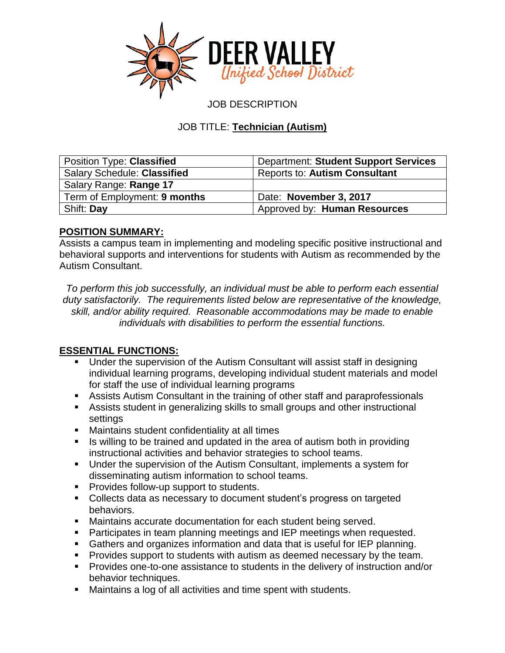

JOB DESCRIPTION

# JOB TITLE: **Technician (Autism)**

| Position Type: Classified          | <b>Department: Student Support Services</b> |
|------------------------------------|---------------------------------------------|
| <b>Salary Schedule: Classified</b> | <b>Reports to: Autism Consultant</b>        |
| Salary Range: Range 17             |                                             |
| Term of Employment: 9 months       | Date: November 3, 2017                      |
| Shift: Day                         | Approved by: Human Resources                |

#### **POSITION SUMMARY:**

Assists a campus team in implementing and modeling specific positive instructional and behavioral supports and interventions for students with Autism as recommended by the Autism Consultant.

*To perform this job successfully, an individual must be able to perform each essential duty satisfactorily. The requirements listed below are representative of the knowledge, skill, and/or ability required. Reasonable accommodations may be made to enable individuals with disabilities to perform the essential functions.*

# **ESSENTIAL FUNCTIONS:**

- Under the supervision of the Autism Consultant will assist staff in designing individual learning programs, developing individual student materials and model for staff the use of individual learning programs
- Assists Autism Consultant in the training of other staff and paraprofessionals
- Assists student in generalizing skills to small groups and other instructional settings
- Maintains student confidentiality at all times
- Is willing to be trained and updated in the area of autism both in providing instructional activities and behavior strategies to school teams.
- Under the supervision of the Autism Consultant, implements a system for disseminating autism information to school teams.
- **Provides follow-up support to students.**
- Collects data as necessary to document student's progress on targeted behaviors.
- Maintains accurate documentation for each student being served.
- **Participates in team planning meetings and IEP meetings when requested.**
- Gathers and organizes information and data that is useful for IEP planning.
- **Provides support to students with autism as deemed necessary by the team.**
- **Provides one-to-one assistance to students in the delivery of instruction and/or** behavior techniques.
- Maintains a log of all activities and time spent with students.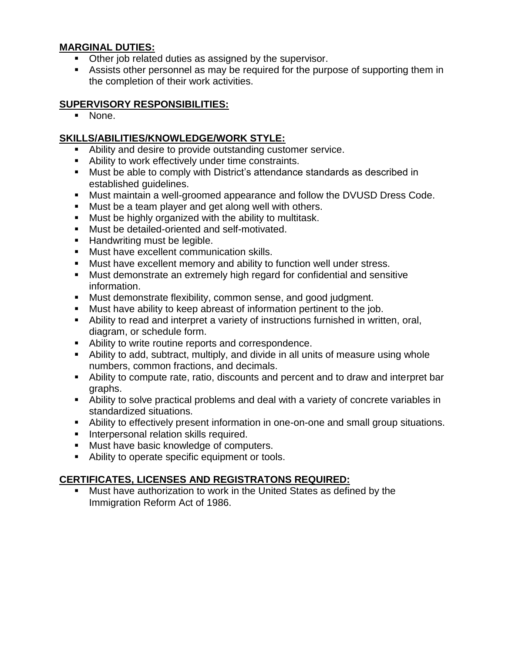### **MARGINAL DUTIES:**

- **Other job related duties as assigned by the supervisor.**
- Assists other personnel as may be required for the purpose of supporting them in the completion of their work activities.

### **SUPERVISORY RESPONSIBILITIES:**

None.

# **SKILLS/ABILITIES/KNOWLEDGE/WORK STYLE:**

- Ability and desire to provide outstanding customer service.
- Ability to work effectively under time constraints.
- Must be able to comply with District's attendance standards as described in established guidelines.
- Must maintain a well-groomed appearance and follow the DVUSD Dress Code.
- **Must be a team player and get along well with others.**
- **Must be highly organized with the ability to multitask.**
- **Must be detailed-oriented and self-motivated.**
- Handwriting must be legible.
- **Must have excellent communication skills.**
- Must have excellent memory and ability to function well under stress.
- Must demonstrate an extremely high regard for confidential and sensitive information.
- Must demonstrate flexibility, common sense, and good judgment.
- Must have ability to keep abreast of information pertinent to the job.
- Ability to read and interpret a variety of instructions furnished in written, oral, diagram, or schedule form.
- Ability to write routine reports and correspondence.
- Ability to add, subtract, multiply, and divide in all units of measure using whole numbers, common fractions, and decimals.
- Ability to compute rate, ratio, discounts and percent and to draw and interpret bar graphs.
- Ability to solve practical problems and deal with a variety of concrete variables in standardized situations.
- Ability to effectively present information in one-on-one and small group situations.
- **Interpersonal relation skills required.**
- **Must have basic knowledge of computers.**
- Ability to operate specific equipment or tools.

# **CERTIFICATES, LICENSES AND REGISTRATONS REQUIRED:**

 Must have authorization to work in the United States as defined by the Immigration Reform Act of 1986.